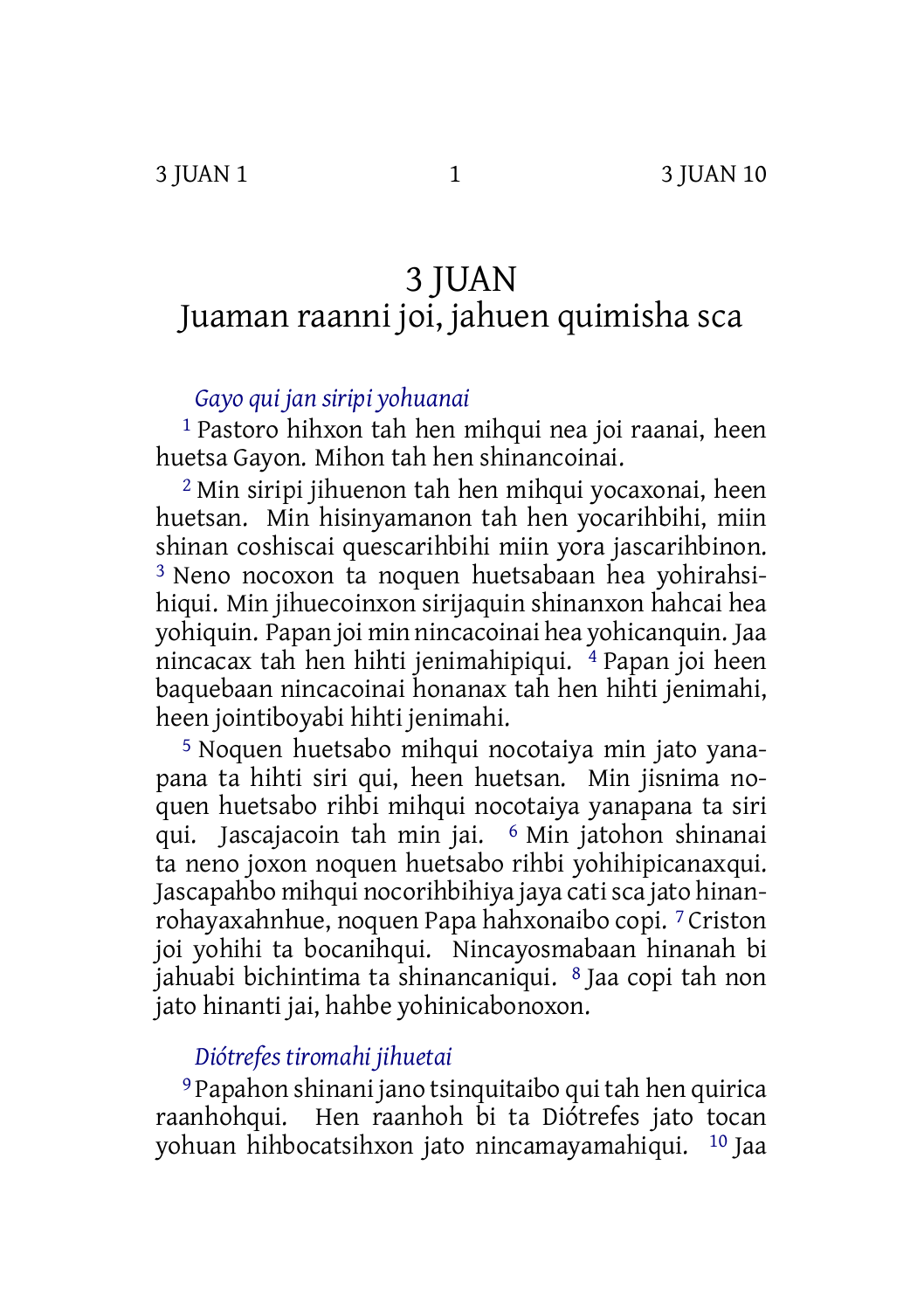# 3 JUAN Juaman raanni joi, jahuen quimisha sca

## *Gayo qui jan siripi yohuanai*

1 Pastoro hihxon tah hen mihqui nea joi raanai, heen huetsa Gayon. Mihon tah hen shinancoinai.

2 Min siripi jihuenon tah hen mihqui yocaxonai, heen huetsan. Min hisinyamanon tah hen yocarihbihi, miin shinan coshiscai quescarihbihi miin yora jascarihbinon. 3 Neno nocoxon ta noquen huetsabaan hea yohirahsihiqui. Min jihuecoinxon sirijaquin shinanxon hahcai hea yohiquin. Papan joi min nincacoinai hea yohicanquin. Jaa nincacax tah hen hihti jenimahipiqui. 4 Papan joi heen baquebaan nincacoinai honanax tah hen hihti jenimahi, heen jointiboyabi hihti jenimahi.

5 Noquen huetsabo mihqui nocotaiya min jato yanapana ta hihti siri qui, heen huetsan. Min jisnima noquen huetsabo rihbi mihqui nocotaiya yanapana ta siri qui. Jascajacoin tah min jai. 6 Min jatohon shinanai ta neno joxon noquen huetsabo rihbi yohihipicanaxqui. Jascapahbo mihqui nocorihbihiya jaya catisca jato hinanrohayaxahnhue, noquen Papa hahxonaibo copi. 7 Criston joi yohihi ta bocanihqui. Nincayosmabaan hinanah bi jahuabi bichintima ta shinancaniqui. 8 Jaa copi tah non jato hinanti jai, hahbe yohinicabonoxon.

# *Diótrefes tiromahi jihuetai*

9 Papahon shinani jano tsinquitaibo qui tah hen quirica raanhohqui. Hen raanhoh bi ta Diótrefes jato tocan yohuan hihbocatsihxon jato nincamayamahiqui. 10 Jaa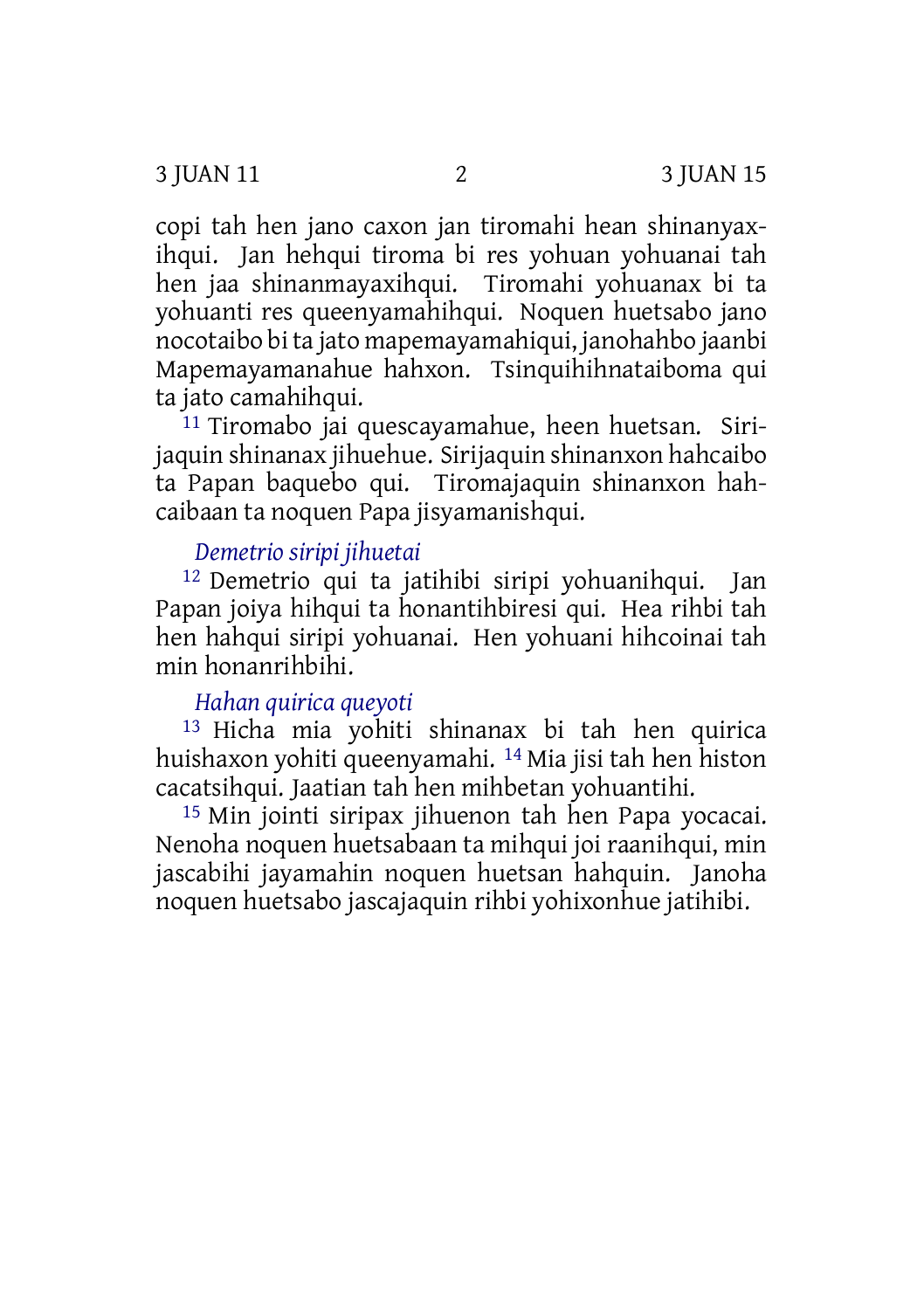copi tah hen jano caxon jan tiromahi hean shinanyaxihqui. Jan hehqui tiroma bi res yohuan yohuanai tah hen jaa shinanmayaxihqui. Tiromahi yohuanax bi ta yohuanti res queenyamahihqui. Noquen huetsabo jano nocotaibo bi ta jato mapemayamahiqui, janohahbo jaanbi Mapemayamanahue hahxon. Tsinquihihnataiboma qui ta jato camahihqui.

<sup>11</sup> Tiromabo jai quescayamahue, heen huetsan. Sirijaquin shinanax jihuehue. Sirijaquin shinanxon hahcaibo ta Papan baquebo qui. Tiromajaquin shinanxon hahcaibaan ta noquen Papa jisyamanishqui.

# *Demetrio siripi jihuetai*

12 Demetrio qui ta jatihibi siripi yohuanihqui. Jan Papan joiya hihqui ta honantihbiresi qui. Hea rihbi tah hen hahqui siripi yohuanai. Hen yohuani hihcoinai tah min honanrihbihi.

# *Hahan quirica queyoti*

13 Hicha mia yohiti shinanax bi tah hen quirica huishaxon yohiti queenyamahi. 14 Mia jisi tah hen histon cacatsihqui. Jaatian tah hen mihbetan yohuantihi.

15 Min jointi siripax jihuenon tah hen Papa yocacai. Nenoha noquen huetsabaan ta mihqui joi raanihqui, min jascabihi jayamahin noquen huetsan hahquin. Janoha noquen huetsabo jascajaquin rihbi yohixonhue jatihibi.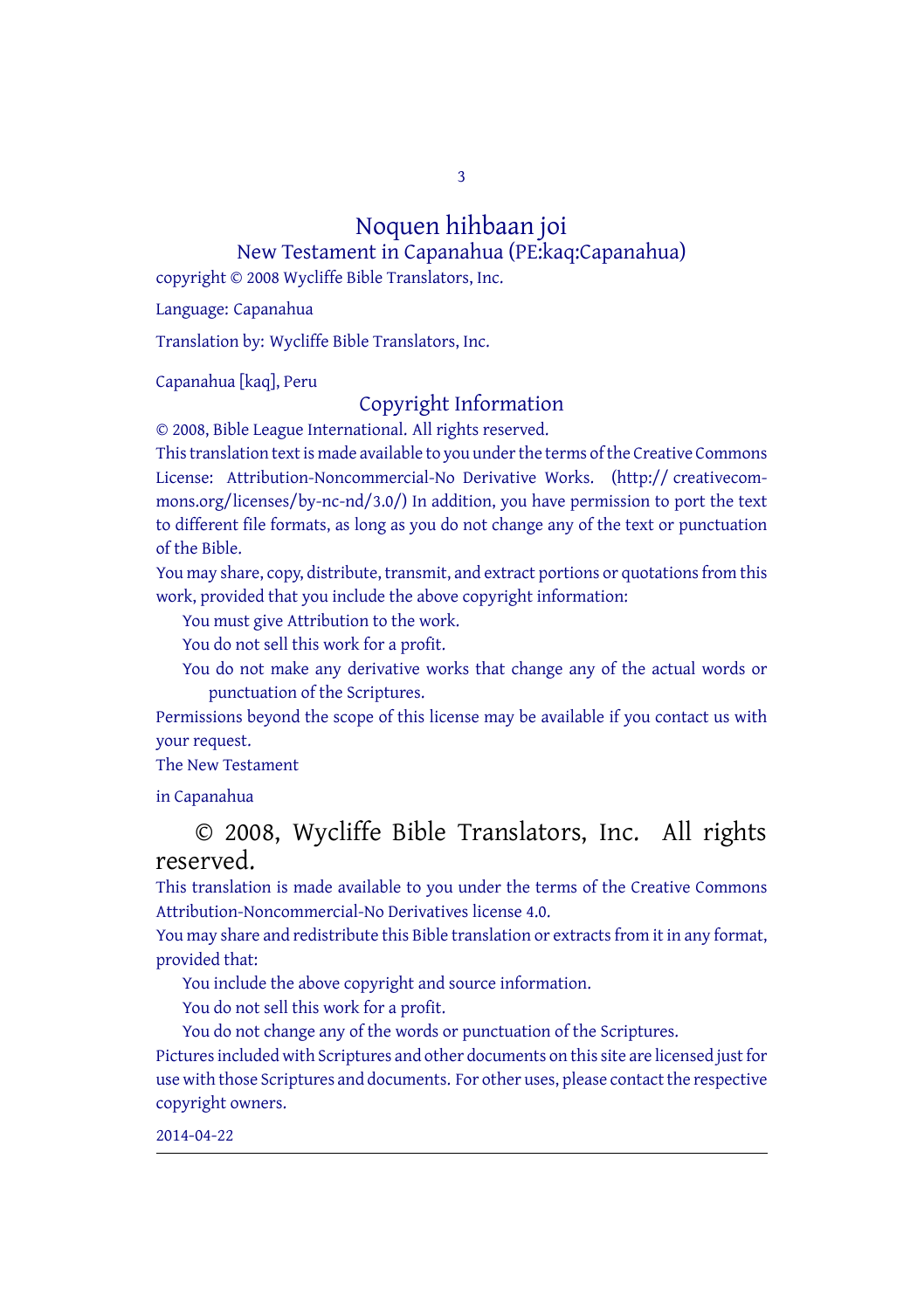3

#### Noquen hihbaan joi New Testament in Capanahua (PE:kaq:Capanahua)

copyright © 2008 Wycliffe Bible Translators, Inc.

Language: Capanahua

Translation by: Wycliffe Bible Translators, Inc.

Capanahua [kaq], Peru

#### Copyright Information

© 2008, Bible League International. All rights reserved.

This translation text is made available to you under the terms of the Creative [Commons](http://creativecommons.org/licenses/by-nc-nd/4.0/) License: [Attribution-Noncommercial-No](http://creativecommons.org/licenses/by-nc-nd/4.0/) Derivative Works. (http:// creativecommons.org/licenses/by-nc-nd/3.0/) In addition, you have permission to port the text to different file formats, as long as you do not change any of the text or punctuation of the Bible.

You may share, copy, distribute, transmit, and extract portions or quotations from this work, provided that you include the above copyright information:

You must give Attribution to the work.

You do not sell this work for a profit.

You do not make any derivative works that change any of the actual words or punctuation of the Scriptures.

Permissions beyond the scope of this license may be available if you contact us with your request.

#### The New Testament

in Capanahua

## © 2008, Wycliffe Bible Translators, Inc. All rights reserved.

This translation is made available to you under the terms of the Creative Commons Attribution-Noncommercial-No Derivatives license 4.0.

You may share and redistribute this Bible translation or extracts from it in any format, provided that:

You include the above copyright and source information.

You do not sell this work for a profit.

You do not change any of the words or punctuation of the Scriptures. Pictures included with Scriptures and other documents on this site are licensed just for use with those Scriptures and documents. For other uses, please contact the respective copyright owners.

2014-04-22